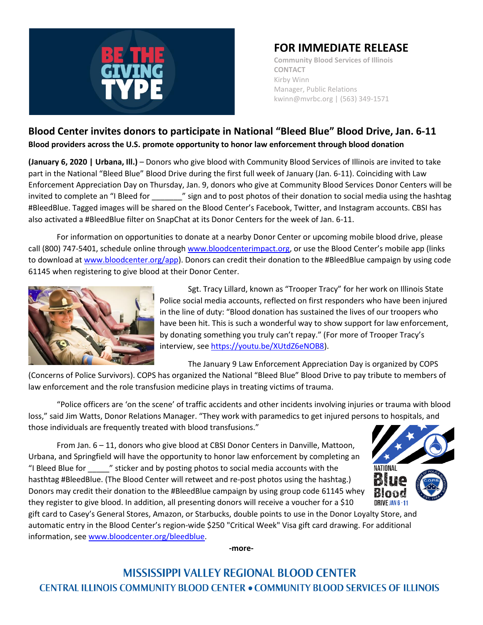

## **FOR IMMEDIATE RELEASE**

**Community Blood Services of Illinois CONTACT** Kirby Winn Manager, Public Relations kwinn@mvrbc.org | (563) 349-1571

## **Blood Center invites donors to participate in National "Bleed Blue" Blood Drive, Jan. 6-11 Blood providers across the U.S. promote opportunity to honor law enforcement through blood donation**

**(January 6, 2020 | Urbana, Ill.)** – Donors who give blood with Community Blood Services of Illinois are invited to take part in the National "Bleed Blue" Blood Drive during the first full week of January (Jan. 6-11). Coinciding with Law Enforcement Appreciation Day on Thursday, Jan. 9, donors who give at Community Blood Services Donor Centers will be invited to complete an "I Bleed for " sign and to post photos of their donation to social media using the hashtag #BleedBlue. Tagged images will be shared on the Blood Center's Facebook, Twitter, and Instagram accounts. CBSI has also activated a #BleedBlue filter on SnapChat at its Donor Centers for the week of Jan. 6-11.

For information on opportunities to donate at a nearby Donor Center or upcoming mobile blood drive, please call (800) 747-5401, schedule online through [www.bloodcenterimpact.org](http://www.bloodcenterimpact.org/), or use the Blood Center's mobile app (links to download a[t www.bloodcenter.org/app\)](http://www.bloodcenter.org/app). Donors can credit their donation to the #BleedBlue campaign by using code 61145 when registering to give blood at their Donor Center.



Sgt. Tracy Lillard, known as "Trooper Tracy" for her work on Illinois State Police social media accounts, reflected on first responders who have been injured in the line of duty: "Blood donation has sustained the lives of our troopers who have been hit. This is such a wonderful way to show support for law enforcement, by donating something you truly can't repay." (For more of Trooper Tracy's interview, se[e https://youtu.be/XUtdZ6eNOB8\)](https://youtu.be/XUtdZ6eNOB8).

The January 9 Law Enforcement Appreciation Day is organized by COPS

(Concerns of Police Survivors). COPS has organized the National "Bleed Blue" Blood Drive to pay tribute to members of law enforcement and the role transfusion medicine plays in treating victims of trauma.

"Police officers are 'on the scene' of traffic accidents and other incidents involving injuries or trauma with blood loss," said Jim Watts, Donor Relations Manager. "They work with paramedics to get injured persons to hospitals, and those individuals are frequently treated with blood transfusions."

From Jan. 6 – 11, donors who give blood at CBSI Donor Centers in Danville, Mattoon, Urbana, and Springfield will have the opportunity to honor law enforcement by completing an "I Bleed Blue for \_\_\_\_\_" sticker and by posting photos to social media accounts with the hasthtag #BleedBlue. (The Blood Center will retweet and re-post photos using the hashtag.) Donors may credit their donation to the #BleedBlue campaign by using group code 61145 whey they register to give blood. In addition, all presenting donors will receive a voucher for a \$10



gift card to Casey's General Stores, Amazon, or Starbucks, double points to use in the Donor Loyalty Store, and automatic entry in the Blood Center's region-wide \$250 "Critical Week" Visa gift card drawing. For additional information, see [www.bloodcenter.org/bleedblue.](http://www.bloodcenter.org/bleedblue)

**-more-**

**MISSISSIPPI VALLEY REGIONAL BLOOD CENTER CENTRAL ILLINOIS COMMUNITY BLOOD CENTER . COMMUNITY BLOOD SERVICES OF ILLINOIS**